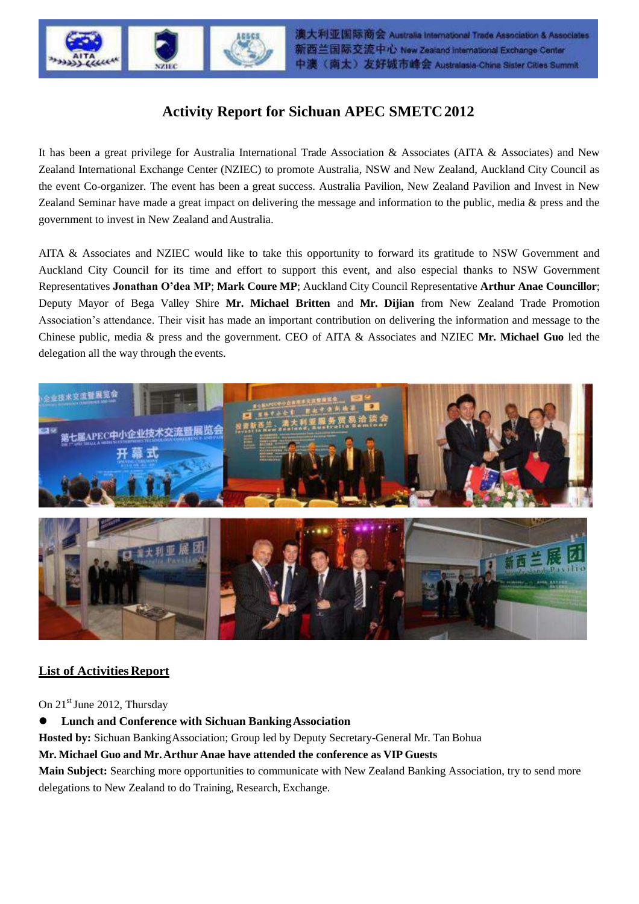

# **Activity Report for Sichuan APEC SMETC2012**

It has been a great privilege for Australia International Trade Association & Associates (AITA & Associates) and New Zealand International Exchange Center (NZIEC) to promote Australia, NSW and New Zealand, Auckland City Council as the event Co-organizer. The event has been a great success. Australia Pavilion, New Zealand Pavilion and Invest in New Zealand Seminar have made a great impact on delivering the message and information to the public, media & press and the government to invest in New Zealand andAustralia.

AITA & Associates and NZIEC would like to take this opportunity to forward its gratitude to NSW Government and Auckland City Council for its time and effort to support this event, and also especial thanks to NSW Government Representatives **Jonathan O'dea MP**; **Mark Coure MP**; Auckland City Council Representative **Arthur Anae Councillor**; Deputy Mayor of Bega Valley Shire **Mr. Michael Britten** and **Mr. Dijian** from New Zealand Trade Promotion Association's attendance. Their visit has made an important contribution on delivering the information and message to the Chinese public, media & press and the government. CEO of AITA & Associates and NZIEC **Mr. Michael Guo** led the delegation all the way through the events.



## **List of Activities Report**

#### On  $21<sup>st</sup>$  June 2012, Thursday

**Lunch and Conference with Sichuan BankingAssociation**

**Hosted by:** Sichuan BankingAssociation; Group led by Deputy Secretary-General Mr. Tan Bohua

**Mr. Michael Guo and Mr.Arthur Anae have attended the conference as VIP Guests**

**Main Subject:** Searching more opportunities to communicate with New Zealand Banking Association, try to send more delegations to New Zealand to do Training, Research, Exchange.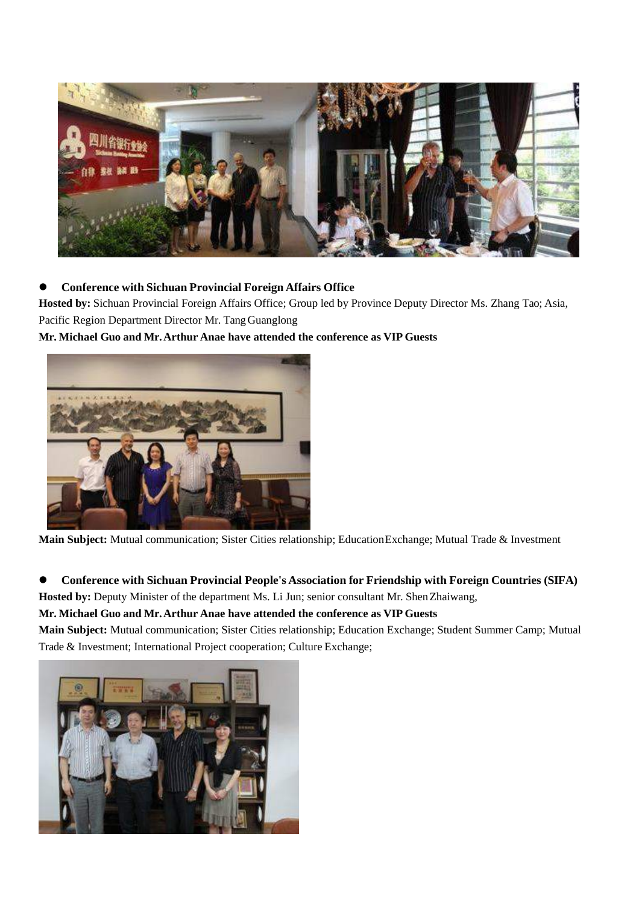

## **Conference with Sichuan Provincial Foreign Affairs Office**

**Hosted by:** Sichuan Provincial Foreign Affairs Office; Group led by Province Deputy Director Ms. Zhang Tao; Asia, Pacific Region Department Director Mr. TangGuanglong

## **Mr. Michael Guo and Mr.Arthur Anae have attended the conference as VIP Guests**



**Main Subject:** Mutual communication; Sister Cities relationship; EducationExchange; Mutual Trade & Investment

**Conference with Sichuan Provincial People's Association for Friendship with Foreign Countries (SIFA)**

**Hosted by:** Deputy Minister of the department Ms. Li Jun; senior consultant Mr. ShenZhaiwang,

## **Mr. Michael Guo and Mr.Arthur Anae have attended the conference as VIP Guests**

**Main Subject:** Mutual communication; Sister Cities relationship; Education Exchange; Student Summer Camp; Mutual Trade & Investment; International Project cooperation; Culture Exchange;

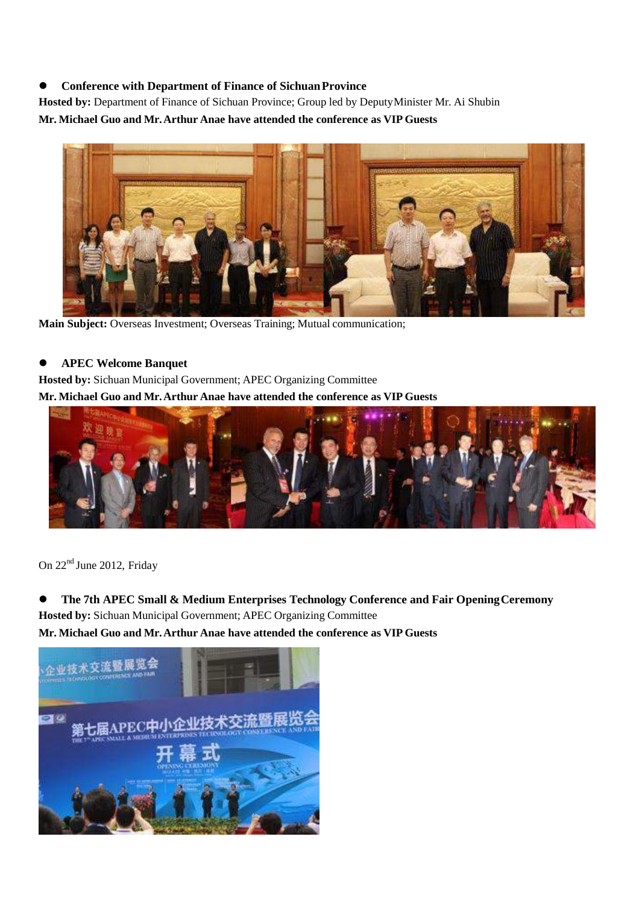#### **•** Conference with Department of Finance of Sichuan Province

**Hosted by:** Department of Finance of Sichuan Province; Group led by DeputyMinister Mr. Ai Shubin **Mr. Michael Guo and Mr.Arthur Anae have attended the conference as VIP Guests** 



**Main Subject:** Overseas Investment; Overseas Training; Mutual communication;

#### **APEC Welcome Banquet**

**Hosted by:** Sichuan Municipal Government; APEC Organizing Committee

**Mr. Michael Guo and Mr.Arthur Anae have attended the conference as VIP Guests**



On 22<sup>nd</sup> June 2012, Friday

 **The 7th APEC Small & Medium Enterprises Technology Conference and Fair OpeningCeremony Hosted by:** Sichuan Municipal Government; APEC Organizing Committee **Mr. Michael Guo and Mr.Arthur Anae have attended the conference as VIP Guests**

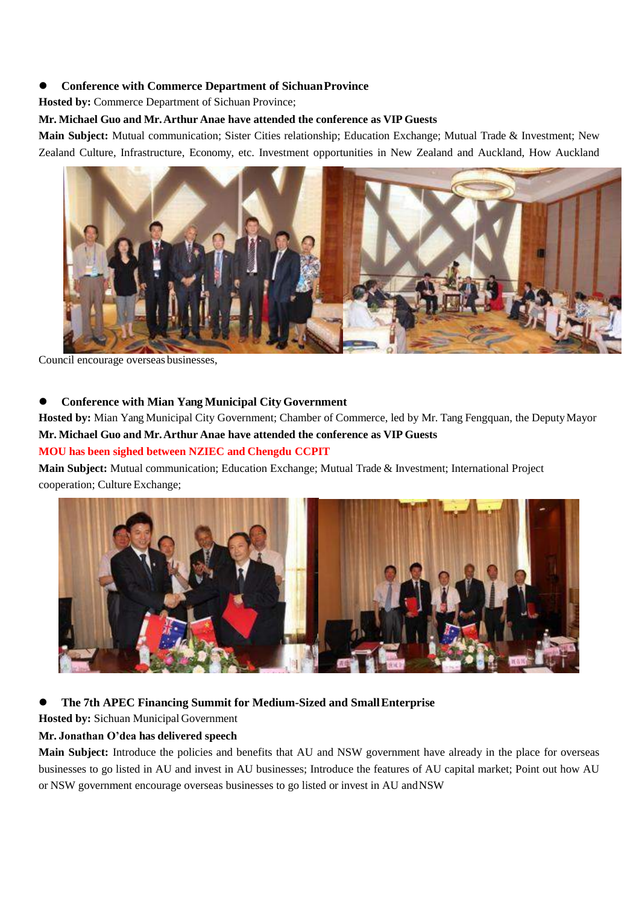#### **Conference with Commerce Department of SichuanProvince**

**Hosted by:** Commerce Department of Sichuan Province;

#### **Mr. Michael Guo and Mr.Arthur Anae have attended the conference as VIP Guests**

**Main Subject:** Mutual communication; Sister Cities relationship; Education Exchange; Mutual Trade & Investment; New Zealand Culture, Infrastructure, Economy, etc. Investment opportunities in New Zealand and Auckland, How Auckland



Council encourage overseas businesses,

#### **Conference with Mian Yang Municipal City Government**

**Hosted by:** Mian Yang Municipal City Government; Chamber of Commerce, led by Mr. Tang Fengquan, the DeputyMayor **Mr. Michael Guo and Mr.Arthur Anae have attended the conference as VIP Guests** 

### **MOU has been sighed between NZIEC and Chengdu CCPIT**

**Main Subject:** Mutual communication; Education Exchange; Mutual Trade & Investment; International Project cooperation; Culture Exchange;



## **The 7th APEC Financing Summit for Medium-Sized and SmallEnterprise**

**Hosted by:** Sichuan Municipal Government

#### **Mr. Jonathan O'dea has delivered speech**

**Main Subject:** Introduce the policies and benefits that AU and NSW government have already in the place for overseas businesses to go listed in AU and invest in AU businesses; Introduce the features of AU capital market; Point out how AU or NSW government encourage overseas businesses to go listed or invest in AU andNSW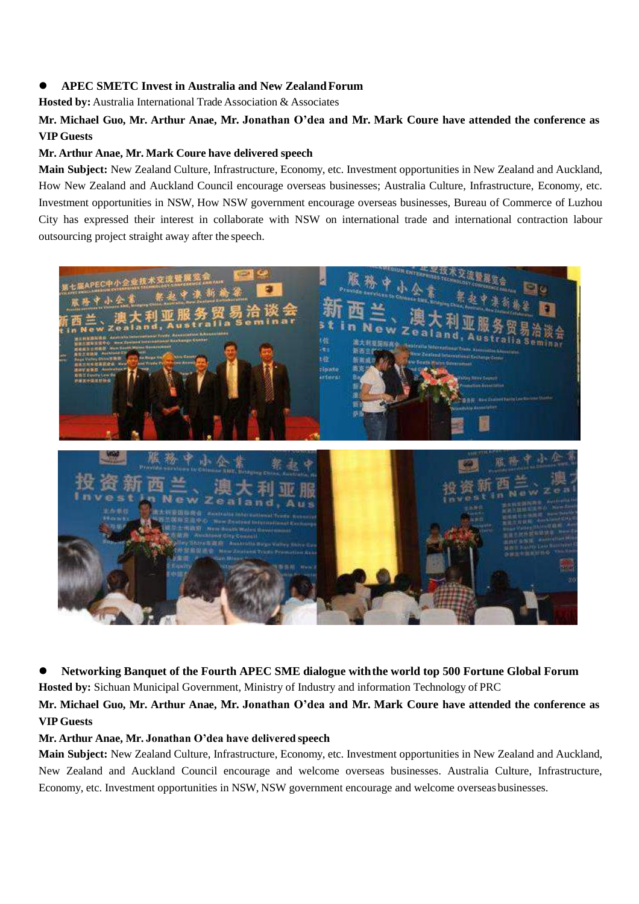#### **APEC SMETC Invest in Australia and New ZealandForum**

**Hosted by:** Australia International Trade Association & Associates

## **Mr. Michael Guo, Mr. Arthur Anae, Mr. Jonathan O'dea and Mr. Mark Coure have attended the conference as VIP Guests**

#### **Mr. Arthur Anae, Mr. Mark Coure have delivered speech**

**Main Subject:** New Zealand Culture, Infrastructure, Economy, etc. Investment opportunities in New Zealand and Auckland, How New Zealand and Auckland Council encourage overseas businesses; Australia Culture, Infrastructure, Economy, etc. Investment opportunities in NSW, How NSW government encourage overseas businesses, Bureau of Commerce of Luzhou City has expressed their interest in collaborate with NSW on international trade and international contraction labour outsourcing project straight away after the speech.



 **Networking Banquet of the Fourth APEC SME dialogue withthe world top 500 Fortune Global Forum Hosted by:** Sichuan Municipal Government, Ministry of Industry and information Technology of PRC

**Mr. Michael Guo, Mr. Arthur Anae, Mr. Jonathan O'dea and Mr. Mark Coure have attended the conference as VIP Guests**

#### **Mr. Arthur Anae, Mr. Jonathan O'dea have delivered speech**

**Main Subject:** New Zealand Culture, Infrastructure, Economy, etc. Investment opportunities in New Zealand and Auckland, New Zealand and Auckland Council encourage and welcome overseas businesses. Australia Culture, Infrastructure, Economy, etc. Investment opportunities in NSW, NSW government encourage and welcome overseas businesses.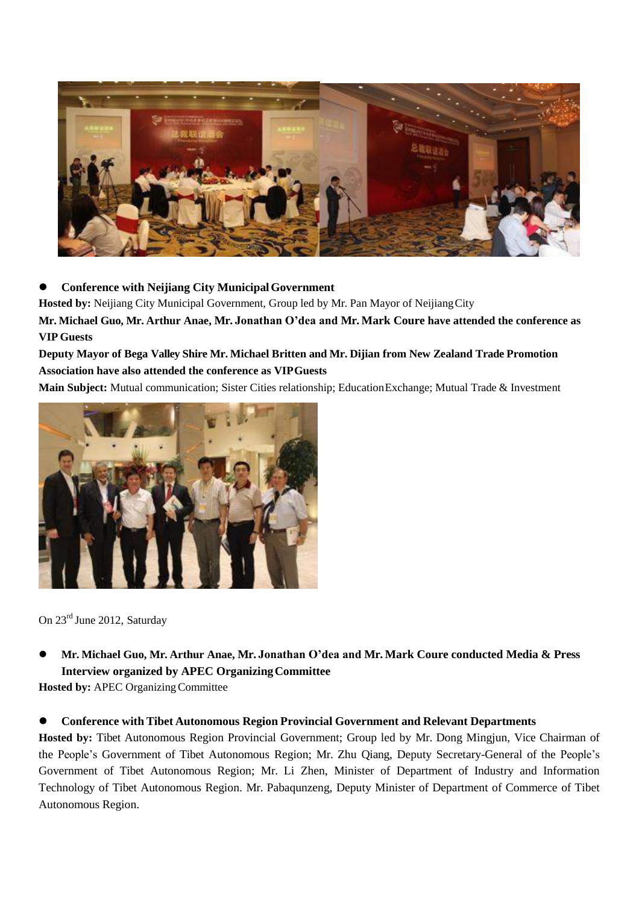

## **Conference with Neijiang City MunicipalGovernment**

Hosted by: Neijiang City Municipal Government, Group led by Mr. Pan Mayor of Neijiang City

**Mr. Michael Guo, Mr. Arthur Anae, Mr. Jonathan O'dea and Mr. Mark Coure have attended the conference as VIP Guests**

## **Deputy Mayor of Bega Valley Shire Mr. Michael Britten and Mr. Dijian from New Zealand Trade Promotion Association have also attended the conference as VIPGuests**

**Main Subject:** Mutual communication; Sister Cities relationship; EducationExchange; Mutual Trade & Investment



On 23rd June 2012, Saturday

 **Mr. Michael Guo, Mr. Arthur Anae, Mr. Jonathan O'dea and Mr. Mark Coure conducted Media & Press Interview organized by APEC OrganizingCommittee**

**Hosted by: APEC Organizing Committee** 

#### **Conference with Tibet Autonomous Region Provincial Government and Relevant Departments**

**Hosted by:** Tibet Autonomous Region Provincial Government; Group led by Mr. Dong Mingjun, Vice Chairman of the People's Government of Tibet Autonomous Region; Mr. Zhu Qiang, Deputy Secretary-General of the People's Government of Tibet Autonomous Region; Mr. Li Zhen, Minister of Department of Industry and Information Technology of Tibet Autonomous Region. Mr. Pabaqunzeng, Deputy Minister of Department of Commerce of Tibet Autonomous Region.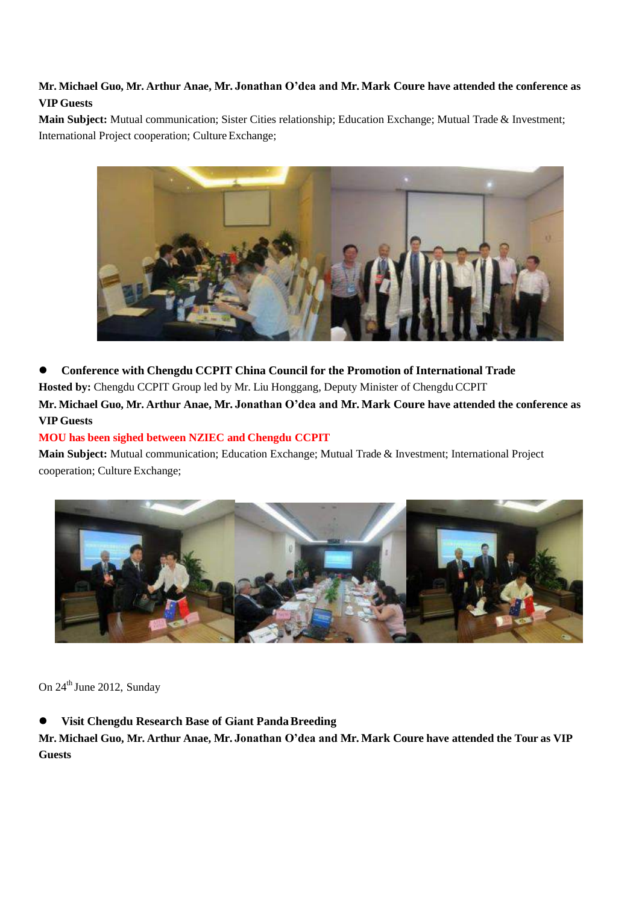## **Mr. Michael Guo, Mr. Arthur Anae, Mr. Jonathan O'dea and Mr. Mark Coure have attended the conference as VIP Guests**

**Main Subject:** Mutual communication; Sister Cities relationship; Education Exchange; Mutual Trade & Investment; International Project cooperation; Culture Exchange;



 **Conference with Chengdu CCPIT China Council for the Promotion of International Trade** Hosted by: Chengdu CCPIT Group led by Mr. Liu Honggang, Deputy Minister of Chengdu CCPIT **Mr. Michael Guo, Mr. Arthur Anae, Mr. Jonathan O'dea and Mr. Mark Coure have attended the conference as** 

## **VIP Guests**

#### **MOU has been sighed between NZIEC and Chengdu CCPIT**

**Main Subject:** Mutual communication; Education Exchange; Mutual Trade & Investment; International Project cooperation; Culture Exchange;



On  $24^{\text{th}}$  June 2012, Sunday

#### **Visit Chengdu Research Base of Giant PandaBreeding**

**Mr. Michael Guo, Mr. Arthur Anae, Mr. Jonathan O'dea and Mr. Mark Coure have attended the Tour as VIP Guests**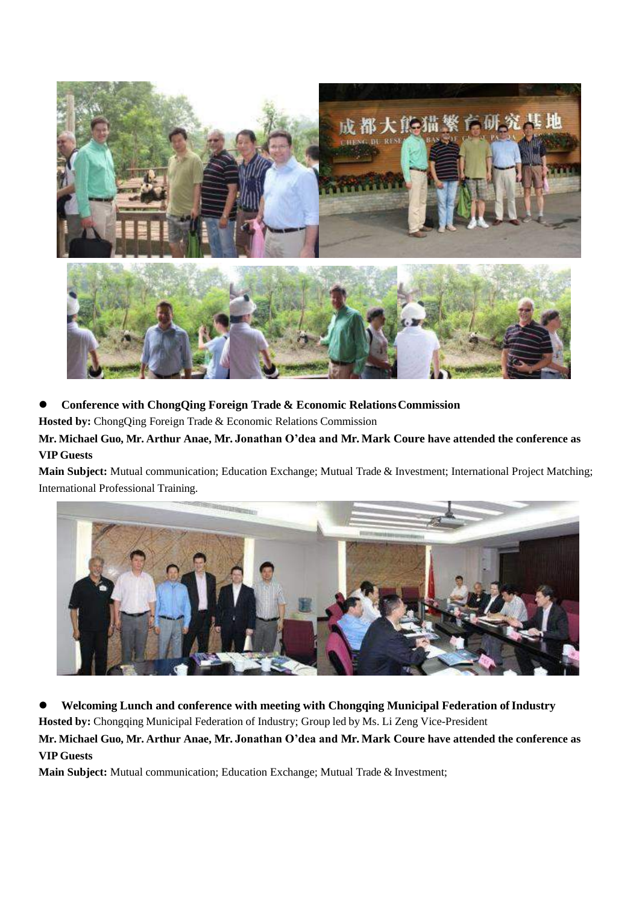

## **Conference with ChongQing Foreign Trade & Economic RelationsCommission**

**Hosted by:** ChongQing Foreign Trade & Economic Relations Commission

## **Mr. Michael Guo, Mr. Arthur Anae, Mr. Jonathan O'dea and Mr. Mark Coure have attended the conference as VIP Guests**

**Main Subject:** Mutual communication; Education Exchange; Mutual Trade & Investment; International Project Matching; International Professional Training.



 $\bullet$  Welcoming Lunch and conference with meeting with Chongqing Municipal Federation of Industry

**Hosted by:** Chongqing Municipal Federation of Industry; Group led by Ms. Li Zeng Vice-President

**Mr. Michael Guo, Mr. Arthur Anae, Mr. Jonathan O'dea and Mr. Mark Coure have attended the conference as VIP Guests**

**Main Subject:** Mutual communication; Education Exchange; Mutual Trade & Investment;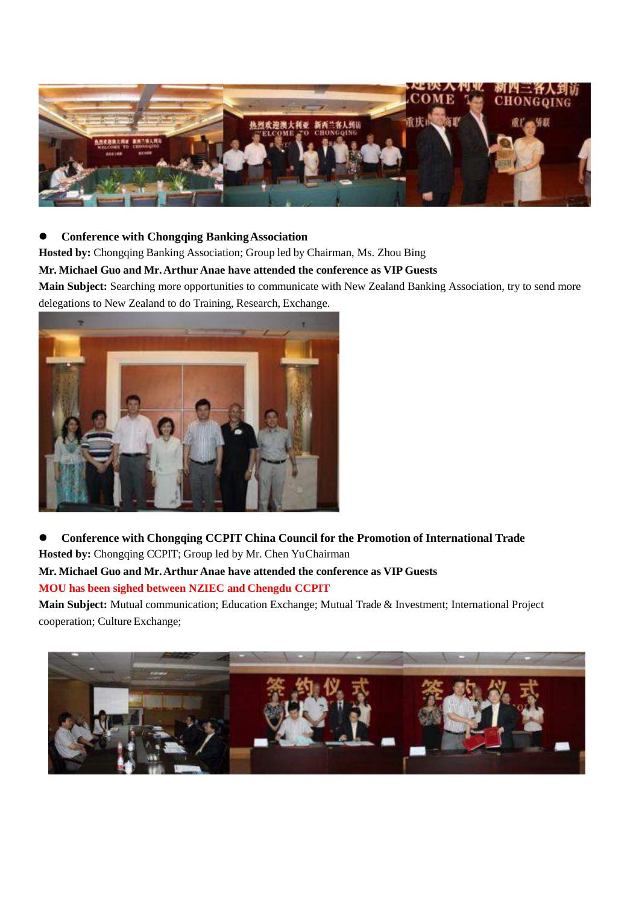

### **Conference with Chongqing BankingAssociation**

**Hosted by:** Chongqing Banking Association; Group led by Chairman, Ms. Zhou Bing

#### **Mr. Michael Guo and Mr.Arthur Anae have attended the conference as VIP Guests**

**Main Subject:** Searching more opportunities to communicate with New Zealand Banking Association, try to send more delegations to New Zealand to do Training, Research, Exchange.



 **Conference with Chongqing CCPIT China Council for the Promotion of International Trade Hosted by:** Chongqing CCPIT; Group led by Mr. Chen YuChairman **Mr. Michael Guo and Mr.Arthur Anae have attended the conference as VIP Guests** 

# **MOU has been sighed between NZIEC and Chengdu CCPIT**

**Main Subject:** Mutual communication; Education Exchange; Mutual Trade & Investment; International Project cooperation; Culture Exchange;